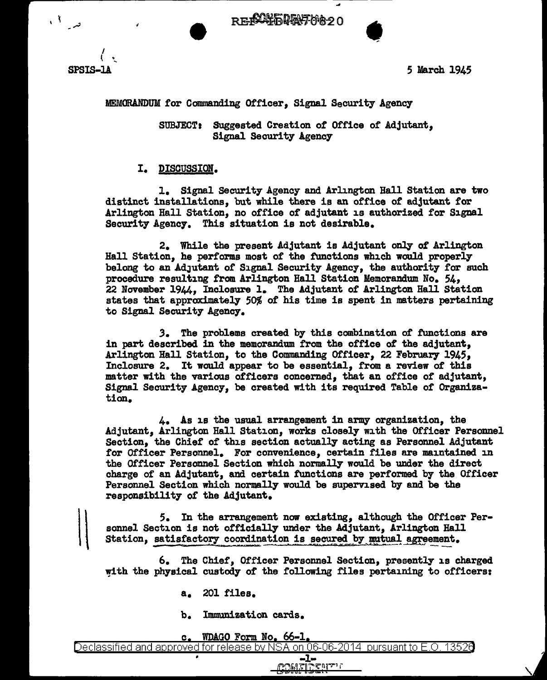**RECONFIDENTION20** 



 $\mathcal{U}$ 

د ا<sup>ق</sup>را

5 March 1945

•

## MEMORANDUM for Commanding Officer, Signal Security Agency

SUBJECT: Suggested Creation of Office of Adjutant, Signal Security Agency

## I. DISCUSSION.

1. Signal Security Agency and Arlington Hall Station are two distinct installations, but while there is an office of adjutant for Arlington Hall Station, no office of adjutant is authorized for Signal Security Agenc7. This situation is not desirable.

2. While the present Adjutant is Adjutant only of Arlington Hall Station, he performs most or the functions which would properl7 belong to an Adjutant of Signal Security Agency, the authority for such procedure resulting from Arlington Hall Station Memorandum. No. 54, 22 November 1944, Inclosure 1. The Adjutant of Arlington Hall Station states that approximately' 50% of his time is spent in matters pertaining to Signal Security Agency.

.3. The problems created by this combination of functions are in part described in the memorandum from the office of the adjutant. Arlington Hall Station, to the Commanding Officer, 22 February 1945, Inclosure 2. It would appear to be essential, from a review of this matter with the various officers concerned, that an office of adjutant, Signal Security Agency, be created with its required Table of Organization.

4. As is the usual arrangement in army organization, the Adjutant, Arlington Hall Station, works closely with the Officer Personnel Section, the Chief of this section actually acting as Personnel Adjutant for Officer Personnel. For convenience, certain files are maintained in the Officer Personnel Section which normall7 would be under the direct charge or an Adjutant, and certain functions are performed by the Officer Personnel Section which normally would be supervised by and be the responsibility of the Adjutant.

*S.* In the arrangement now existing, although the Officer Personnel Section is not officially under the Adjutant, Arlington Hall Station, satisfactory coordination is secured by mutual agreement.

6. The Chief, Officer Personnel Section, presently is charged with the physical custody of the following files pertaining to officers:

> -1- ~~ f~~~:b~f'~-V-1 r L.: (!)U "' t:

- a. 201 files.
- b. Immunization cards.

## c. WDAGO Form No, 66-1,

Declassified and approved for release by NSA on 06-06-2014 pursuant to E.O. 1352e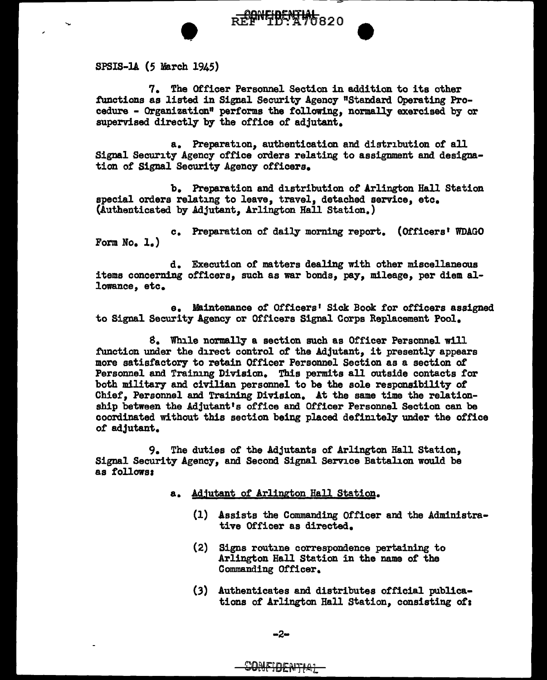• SPSIS-lA ( *5* March 1945)

7. The Officer Personnel Section in addition to its other functions as listed in Signal Security Agency "Standard Operating Procedure - Organization" performs the following, normally exercised by or supervised directly by the office of adjutant.

REF<sup>ONFIDENTIAL</sup> 820

a. Preparation, authentication and distribution of all Signal Security Agency office orders relating to assignment and designation of Signal Security Agency officers.

b. Preparation and distribution of Arlington Hall Station special orders relating to leave, travel, detached service, etc. (Authenticated by Adjutant, Arlington Hall Station.)

c. Preparation of daily' morning report. (Officers• WDAGO Form No. 1.)

d. Execution of matters dealing with other miscellaneous items concerning officers, such as war bonds, pay, mileage, per diem allowance, etc.

e. Maintenance of Officers' Sick Book for officers assigned to Signal Security Agency or Officers Signal Corps Replacement Pool.

8. While normally a section such as Officer Personnel will function under the direct control of the Adjutant, it presently appears more satisfactory to retain Officer Personnel Section as a section of Personnel and Training Division. This permits all outside contacts for both military and civilian personnel to be the sole responsibility of Chief, Personnel and Training Division. At the same time the relationship between the Adjutant's office and Officer Personnel Section can be coordinated without this section being placed definitely under the office of adjutant.

9. The duties of the Adjutants of Arlington Hall Station, Signal Security Agency, and Second Signal Service Battalion would be as follows:

- a. Adjutant of Arlington Hall Station.
	- (1) Assists the Commanding Officer and the Administrative Officer as directed.
	- (2) Signs routine correspondence pertaining to Arlington Hall Station in the name of the Commanding Officer.
	- (3) Authenticates and distributes official publications of Arlington Hall Station, consisting of: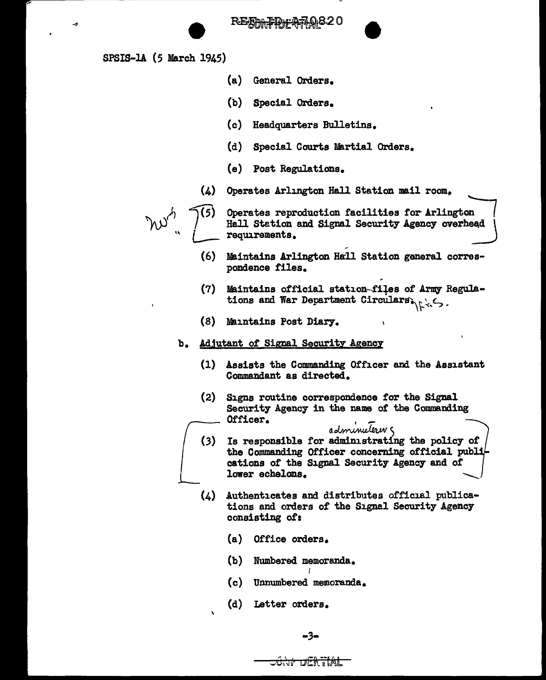RE<del>AM ID "A7</del>

SPSIS-1A (5 March 1945)

J.

- (a) General Orders.
- (b) Special Orders.
- (c) Headquarters Bulletins.
- (d) Special Courts Martial Orders.
- (e) Post Regulations.
- (4) Operates Arlington Hall Station mail room,

r w<sup>.4</sup>, 2<sup>(5)</sup>

Operates reproduction facilities for Arlington |<br>Hall Station and Signal Security Agency overhead | requirements.

•

- (6) Maintains Arlington Hall Station general correspondence files.
- (7) Maintains official station-files of Army Regulations and War Department Circulars
- (8) Maintains Post Diary.

## b. Adjutant of Signal Security Agency

- (1) Assists the Commanding Officer and the Assistant Commandant as directed.
- (2) Signs routine correspondence for the Signal Security Agency in the name of the Commanding Officer.
- administrating the policy of<br>Is responsible for administrating the policy of<br>the Commanding Officer concerning official publi- $(3)$ cations of the Signal Security Agency and of lower echelons.
- (4) Authenticates and distributes official publications and orders of the Signal Security Agency consisting of:
	- (a) Office orders.
	- (b) Numbered memoranda.
	- (c) Unnumbered memoranda.

I

(d) Letter orders.



<del>JÛNI DERTIAL</del>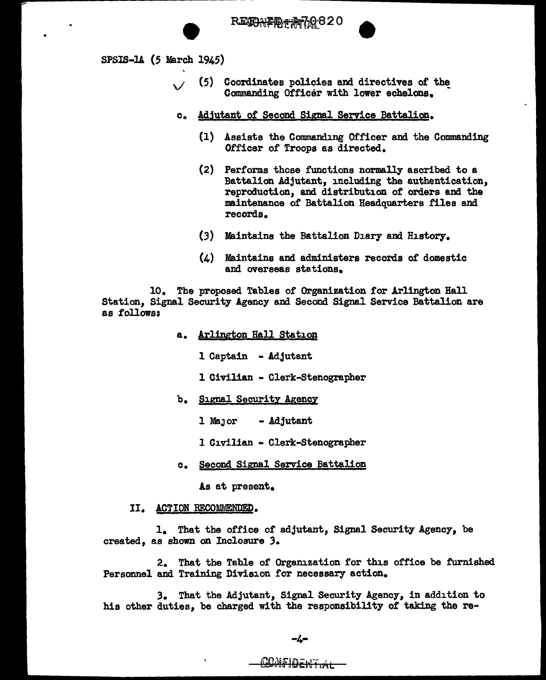



- (5) Coordinates policies and directives or the Commanding Officer with lower echelons.
- c. Adjutant of Second Signal Service Battalion.
	- (1) Assists the Commanding Officer and the Commanding Officer of Troops as directed.
	- (2) Performs those functions normally ascribed to a Battalion Adjutant, including the authentication, reproduction, and distribution of orders and the maintenance of Battalion Headquarters files and records.
	- (3) Maintains the Battalion Diary and History.
	- (4) Maintains and administers records of domestic and overseas stations.

10. The proposed Tables or Organization for Arlington Hall Station, Signal Security Agency and Second Signal Service Battalion are as follows:

- a. Arlington Hall Station
	- 1 Captain Adjutant
	- 1 Civilian Clerk-Stenographer
- b. Signal Security Agency
	- 1 MaJor Adjutant
	- 1 Civilian Clerk-Stenographer
- c. Second Signal Service Battalion

As at present.

II. ACTION RECOMMENDED.

1. That the office of adjutant, Signal Security Agency, be created, as shown on Inclosure 3.

2. That the Table of Organization for this office be furnished Personnel and Training Division for necessary action.

*3.* That the Adjutant, Signal Security Agency, in addition to his other duties, be charged with the responsibility of taking the re-

CONFIDENTIAL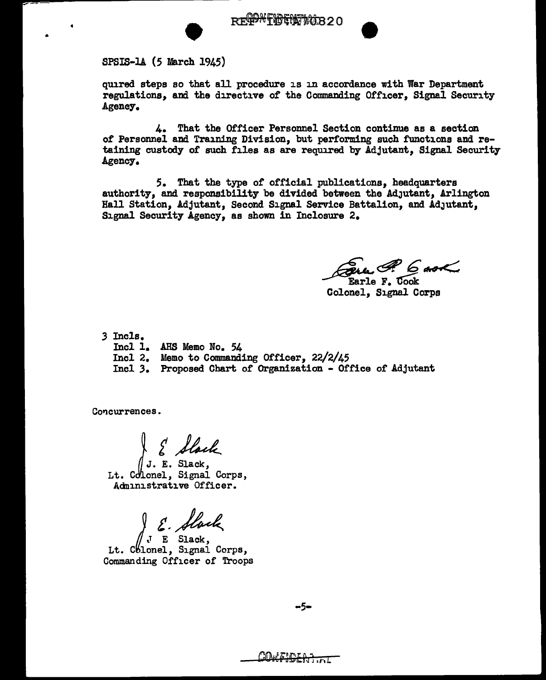ersis-14 (5 March 1945)

quired steps so that all procedure is in accordance with War Department regulations, and the directive of the Commanding Officer, Signal Security Agency.

4. That the Officer Personnel Section continue as a section of Personnel and Training Division, but performing such functions and retaining custody of such files as are required by Adjutant, Signal Security Agency.

*5.* That the type of official publications, headquarters authority, and responsibility be divided between the Adjutant, Arlington Hall Station, Adjutant, Second Signal Service Battalion, and AdJutant, Signal Security Agency, as shown in Inclosure 2.

Earle F. Cook<br>Earle F. Cook<br>Colonel, Signal Corps

.3 Incls.

- Incl 1. AHS Memo No. 54
- Incl 2. Memo to Conunanding Officer, 22/2/45
- Incl 3. Proposed Chart of Organization Office of Adjutant

Concurrences.

J. E. Slack

Lt. Colonel. Signal Corps. Adn1nistrat1ve Officer.

S. Slack

Lt. Chlonel, Signal Corps, Commanding Officer of Troops

-5-